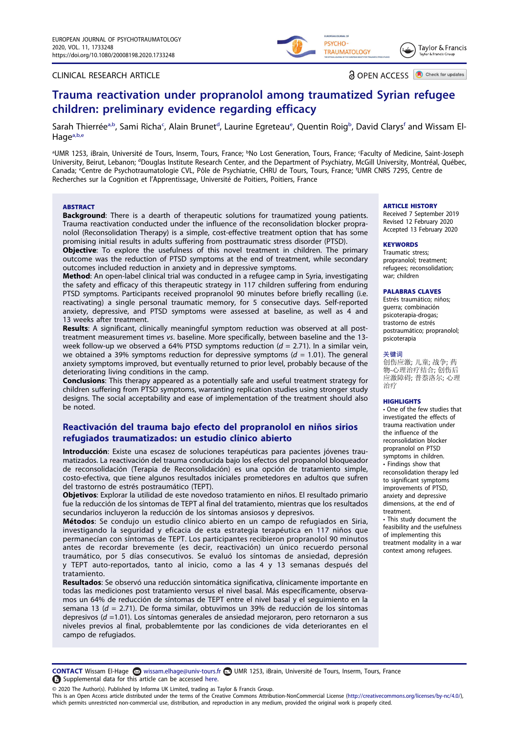#### CLINICAL RESEARCH ARTICLE



**a** OPEN ACCESS **a** Check for updates

# Trauma reactivation under propranolol among traumatized Syrian refugee children: preliminary evidence regarding efficacy

Sarah Thierrée<sup>[a,b](#page-0-0)</sup>, Sami Richa<sup>c</sup>, Alain Brunet<sup>d</sup>, Laurine Egreteau<sup>e</sup>, Q[ue](#page-0-2)ntin Roig<sup>[b](#page-0-0)</sup>, David Clarys<sup>f</sup> and Wissam El-Hage<sup>a,b[,e](#page-0-2)</sup>

<span id="page-0-2"></span><span id="page-0-1"></span><span id="page-0-0"></span>aUMR 1253, iBrain, Université de Tours, Inserm, Tours, France; <sup>b</sup>No Lost Generation, Tours, France; <sup>c</sup>Faculty of Medicine, Saint-Joseph University, Beirut, Lebanon; <sup>d</sup>Douglas Institute Research Center, and the Department of Psychiatry, McGill University, Montréal, Québec, Canada; <sup>e</sup>Centre de Psychotraumatologie CVL, Pôle de Psychiatrie, CHRU de Tours, Tours, France; <sup>f</sup>UMR CNRS 7295, Centre de Recherches sur la Cognition et l'Apprentissage, Université de Poitiers, Poitiers, France

#### ABSTRACT

**Background:** There is a dearth of therapeutic solutions for traumatized young patients. Trauma reactivation conducted under the influence of the reconsolidation blocker propranolol (Reconsolidation Therapy) is a simple, cost-effective treatment option that has some promising initial results in adults suffering from posttraumatic stress disorder (PTSD).

Objective: To explore the usefulness of this novel treatment in children. The primary outcome was the reduction of PTSD symptoms at the end of treatment, while secondary outcomes included reduction in anxiety and in depressive symptoms.

Method: An open-label clinical trial was conducted in a refugee camp in Syria, investigating the safety and efficacy of this therapeutic strategy in 117 children suffering from enduring PTSD symptoms. Participants received propranolol 90 minutes before briefly recalling (i.e. reactivating) a single personal traumatic memory, for 5 consecutive days. Self-reported anxiety, depressive, and PTSD symptoms were assessed at baseline, as well as 4 and 13 weeks after treatment.

Results: A significant, clinically meaningful symptom reduction was observed at all posttreatment measurement times vs. baseline. More specifically, between baseline and the 13 week follow-up we observed a 64% PTSD symptoms reduction  $(d = 2.71)$ . In a similar vein, we obtained a 39% symptoms reduction for depressive symptoms  $(d = 1.01)$ . The general anxiety symptoms improved, but eventually returned to prior level, probably because of the deteriorating living conditions in the camp.

**Conclusions:** This therapy appeared as a potentially safe and useful treatment strategy for children suffering from PTSD symptoms, warranting replication studies using stronger study designs. The social acceptability and ease of implementation of the treatment should also be noted.

# Reactivación del trauma bajo efecto del propranolol en niños sirios refugiados traumatizados: un estudio clίnico abierto

Introducción: Existe una escasez de soluciones terapéuticas para pacientes jóvenes traumatizados. La reactivación del trauma conducida bajo los efectos del propanolol bloqueador de reconsolidación (Terapia de Reconsolidación) es una opción de tratamiento simple, costo-efectiva, que tiene algunos resultados iniciales prometedores en adultos que sufren del trastorno de estrés postraumático (TEPT).

Objetivos: Explorar la utilidad de este novedoso tratamiento en niños. El resultado primario fue la reducción de los síntomas de TEPT al final del tratamiento, mientras que los resultados secundarios incluyeron la reducción de los síntomas ansiosos y depresivos.

Métodos: Se condujo un estudio clínico abierto en un campo de refugiados en Siria, investigando la seguridad y eficacia de esta estrategia terapéutica en 117 niños que permanecían con síntomas de TEPT. Los participantes recibieron propranolol 90 minutos antes de recordar brevemente (es decir, reactivación) un único recuerdo personal traumático, por 5 días consecutivos. Se evaluó los síntomas de ansiedad, depresión y TEPT auto-reportados, tanto al inicio, como a las 4 y 13 semanas después del tratamiento.

Resultados: Se observó una reducción sintomática significativa, clínicamente importante en todas las mediciones post tratamiento versus el nivel basal. Más específicamente, observamos un 64% de reducción de síntomas de TEPT entre el nivel basal y el seguimiento en la semana 13 ( $d = 2.71$ ). De forma similar, obtuvimos un 39% de reducción de los síntomas depresivos ( $d = 1.01$ ). Los síntomas generales de ansiedad mejoraron, pero retornaron a sus niveles previos al final, probablemtente por las condiciones de vida deteriorantes en el campo de refugiados.

#### ARTICLE HISTORY

Received 7 September 2019 Revised 12 February 2020 Accepted 13 February 2020

### **KEYWORDS**

Traumatic stress; propranolol; treatment; refugees; reconsolidation; war; children

#### PALABRAS CLAVES

Estrés traumático; niños; guerra; combinación psicoterapia-drogas; trastorno de estrés postraumático; propranolol; psicoterapia

#### 关键词

创伤应激; 儿童; 战争; 药 物-心理治疗结合; 创伤后 应激障碍; 普萘洛尔; 心理 治疗

#### **HIGHLIGHTS**

• One of the few studies that investigated the effects of trauma reactivation under the influence of the reconsolidation blocker propranolol on PTSD symptoms in children. • Findings show that reconsolidation therapy led to significant symptoms improvements of PTSD, anxiety and depressive dimensions, at the end of treatment.

• This study document the feasibility and the usefulness of implementing this treatment modality in a war context among refugees.

CONTACT Wissam El-Hage Wissam.elhage@univ-tours.fr DUMR 1253, iBrain, Université de Tours, Inserm, Tours, France  $\bullet$  Supplemental data for this article can be accessed [here](https://dx.doi.org/10.1080/20008198.2020.1733248).

© 2020 The Author(s). Published by Informa UK Limited, trading as Taylor & Francis Group.

This is an Open Access article distributed under the terms of the Creative Commons Attribution-NonCommercial License (http://creativecommons.org/licenses/by-nc/4.0/), which permits unrestricted non-commercial use, distribution, and reproduction in any medium, provided the original work is properly cited.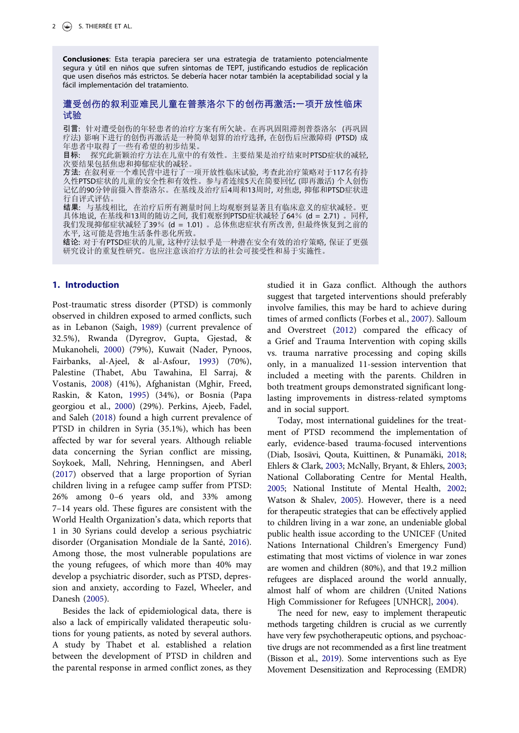Conclusiones: Esta terapia pareciera ser una estrategia de tratamiento potencialmente segura y útil en niños que sufren síntomas de TEPT, justificando estudios de replicación que usen diseños más estrictos. Se debería hacer notar también la aceptabilidad social y la fácil implementación del tratamiento.

# 遭受创伤的叙利亚难民儿童在普萘洛尔下的创伤再激活:一项开放性临床 试验

引言: 针对遭受创伤的年轻患者的治疗方案有所欠缺。在再巩固阻滞剂普萘洛尔 (再巩固 疗法) 影响下进行的创伤再激活是一种简单划算的治疗选择, 在创伤后应激障碍 (PTSD) 成 年患者中取得了一些有希望的初步结果。

目标: 探究此新颖治疗方法在儿童中的有效性。主要结果是治疗结束时PTSD症状的减轻, 次要结果包括焦虑和抑郁症状的减轻。

方法: 在叙利亚一个难民营中进行了一项开放性临床试验, 考查此治疗策略对于117名有持 久性PTSD症状的儿童的安全性和有效性。参与者连续5天在简要回忆 (即再激活) 个人创伤 记忆的90分钟前摄入普萘洛尔。在基线及治疗后4周和13周时, 对焦虑, 抑郁和PTSD症状进 行自评式评估。 结果: 与基线相比, 在治疗后所有测量时间上均观察到显著且有临床意义的症状减轻。更

具体地说, 在基线和13周的随访之间, 我们观察到PTSD症状减轻了64% (d = 2.71) 。同样, 我们发现抑郁症状减轻了39% (d = 1.01) 。总体焦虑症状有所改善, 但最终恢复到之前的 水平, 这可能是营地生活条件恶化所致。

结论: 对于有PTSD症状的儿童, 这种疗法似乎是一种潜在安全有效的治疗策略, 保证了更强 研究设计的重复性研究。也应注意该治疗方法的社会可接受性和易于实施性。

# 1. Introduction

<span id="page-1-16"></span><span id="page-1-13"></span><span id="page-1-12"></span><span id="page-1-11"></span><span id="page-1-7"></span><span id="page-1-6"></span><span id="page-1-2"></span>Post-traumatic stress disorder (PTSD) is commonly observed in children exposed to armed conflicts, such as in Lebanon (Saigh, [1989](#page-7-0)) (current prevalence of 32.5%), Rwanda (Dyregrov, Gupta, Gjestad, & Mukanoheli, [2000](#page-6-0)) (79%), Kuwait (Nader, Pynoos, Fairbanks, al-Ajeel, & al-Asfour, [1993\)](#page-6-1) (70%), Palestine (Thabet, Abu Tawahina, El Sarraj, & Vostanis, [2008\)](#page-7-1) (41%), Afghanistan (Mghir, Freed, Raskin, & Katon, [1995\)](#page-6-2) (34%), or Bosnia (Papa georgiou et al., [2000\)](#page-7-2) (29%). Perkins, Ajeeb, Fadel, and Saleh [\(2018](#page-7-3)) found a high current prevalence of PTSD in children in Syria (35.1%), which has been affected by war for several years. Although reliable data concerning the Syrian conflict are missing, Soykoek, Mall, Nehring, Henningsen, and Aberl ([2017\)](#page-7-4) observed that a large proportion of Syrian children living in a refugee camp suffer from PTSD: 26% among 0–6 years old, and 33% among 7–14 years old. These figures are consistent with the World Health Organization's data, which reports that 1 in 30 Syrians could develop a serious psychiatric disorder (Organisation Mondiale de la Santé, [2016\)](#page-6-3). Among those, the most vulnerable populations are the young refugees, of which more than 40% may develop a psychiatric disorder, such as PTSD, depression and anxiety, according to Fazel, Wheeler, and Danesh [\(2005](#page-6-4)).

<span id="page-1-15"></span><span id="page-1-10"></span><span id="page-1-4"></span>Besides the lack of epidemiological data, there is also a lack of empirically validated therapeutic solutions for young patients, as noted by several authors. A study by Thabet et al. established a relation between the development of PTSD in children and the parental response in armed conflict zones, as they <span id="page-1-14"></span><span id="page-1-5"></span>studied it in Gaza conflict. Although the authors suggest that targeted interventions should preferably involve families, this may be hard to achieve during times of armed conflicts (Forbes et al., [2007](#page-6-5)). Salloum and Overstreet [\(2012\)](#page-7-5) compared the efficacy of a Grief and Trauma Intervention with coping skills vs. trauma narrative processing and coping skills only, in a manualized 11-session intervention that included a meeting with the parents. Children in both treatment groups demonstrated significant longlasting improvements in distress-related symptoms and in social support.

<span id="page-1-18"></span><span id="page-1-9"></span><span id="page-1-8"></span><span id="page-1-3"></span><span id="page-1-1"></span>Today, most international guidelines for the treatment of PTSD recommend the implementation of early, evidence-based trauma-focused interventions (Diab, Isosävi, Qouta, Kuittinen, & Punamäki, [2018;](#page-6-6) Ehlers & Clark, [2003](#page-6-7); McNally, Bryant, & Ehlers, [2003;](#page-6-8) National Collaborating Centre for Mental Health, [2005](#page-6-9); National Institute of Mental Health, [2002;](#page-6-10) Watson & Shalev, [2005\)](#page-7-6). However, there is a need for therapeutic strategies that can be effectively applied to children living in a war zone, an undeniable global public health issue according to the UNICEF (United Nations International Children's Emergency Fund) estimating that most victims of violence in war zones are women and children (80%), and that 19.2 million refugees are displaced around the world annually, almost half of whom are children (United Nations High Commissioner for Refugees [UNHCR], [2004](#page-7-7)).

<span id="page-1-17"></span><span id="page-1-0"></span>The need for new, easy to implement therapeutic methods targeting children is crucial as we currently have very few psychotherapeutic options, and psychoactive drugs are not recommended as a first line treatment (Bisson et al., [2019\)](#page-6-11). Some interventions such as Eye Movement Desensitization and Reprocessing (EMDR)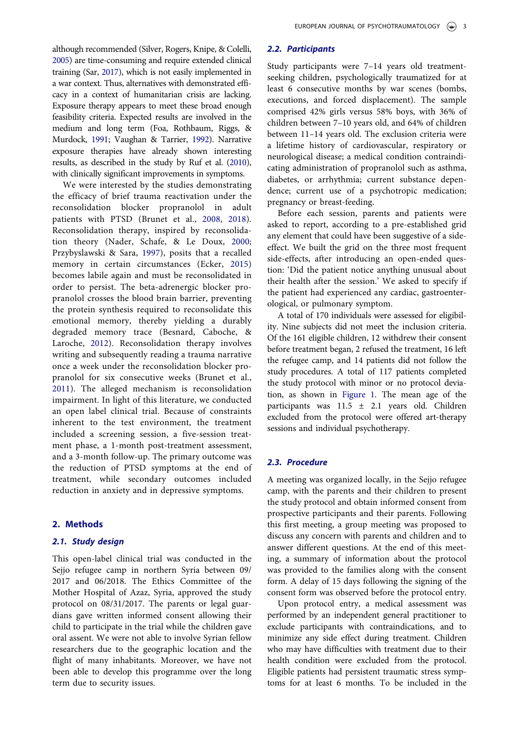<span id="page-2-9"></span><span id="page-2-8"></span>although recommended (Silver, Rogers, Knipe, & Colelli, [2005](#page-7-8)) are time-consuming and require extended clinical training (Sar, [2017\)](#page-7-9), which is not easily implemented in a war context. Thus, alternatives with demonstrated efficacy in a context of humanitarian crisis are lacking. Exposure therapy appears to meet these broad enough feasibility criteria. Expected results are involved in the medium and long term (Foa, Rothbaum, Riggs, & Murdock, [1991](#page-6-12); Vaughan & Tarrier, [1992\)](#page-7-10). Narrative exposure therapies have already shown interesting results, as described in the study by Ruf et al. ([2010\)](#page-7-11), with clinically significant improvements in symptoms.

<span id="page-2-7"></span><span id="page-2-6"></span><span id="page-2-5"></span><span id="page-2-4"></span><span id="page-2-3"></span><span id="page-2-1"></span><span id="page-2-0"></span>We were interested by the studies demonstrating the efficacy of brief trauma reactivation under the reconsolidation blocker propranolol in adult patients with PTSD (Brunet et al., [2008,](#page-6-13) [2018\)](#page-6-14). Reconsolidation therapy, inspired by reconsolidation theory (Nader, Schafe, & Le Doux, [2000](#page-6-15); Przybyslawski & Sara, [1997\)](#page-7-12), posits that a recalled memory in certain circumstances (Ecker, [2015\)](#page-6-16) becomes labile again and must be reconsolidated in order to persist. The beta-adrenergic blocker propranolol crosses the blood brain barrier, preventing the protein synthesis required to reconsolidate this emotional memory, thereby yielding a durably degraded memory trace (Besnard, Caboche, & Laroche, [2012](#page-6-17)). Reconsolidation therapy involves writing and subsequently reading a trauma narrative once a week under the reconsolidation blocker propranolol for six consecutive weeks (Brunet et al., [2011\)](#page-6-18). The alleged mechanism is reconsolidation impairment. In light of this literature, we conducted an open label clinical trial. Because of constraints inherent to the test environment, the treatment included a screening session, a five-session treatment phase, a 1-month post-treatment assessment, and a 3-month follow-up. The primary outcome was the reduction of PTSD symptoms at the end of treatment, while secondary outcomes included reduction in anxiety and in depressive symptoms.

# <span id="page-2-2"></span>2. Methods

### 2.1. Study design

This open-label clinical trial was conducted in the Sejjo refugee camp in northern Syria between 09/ 2017 and 06/2018. The Ethics Committee of the Mother Hospital of Azaz, Syria, approved the study protocol on 08/31/2017. The parents or legal guardians gave written informed consent allowing their child to participate in the trial while the children gave oral assent. We were not able to involve Syrian fellow researchers due to the geographic location and the flight of many inhabitants. Moreover, we have not been able to develop this programme over the long term due to security issues.

### 2.2. Participants

Study participants were 7–14 years old treatmentseeking children, psychologically traumatized for at least 6 consecutive months by war scenes (bombs, executions, and forced displacement). The sample comprised 42% girls versus 58% boys, with 36% of children between 7–10 years old, and 64% of children between 11–14 years old. The exclusion criteria were a lifetime history of cardiovascular, respiratory or neurological disease; a medical condition contraindicating administration of propranolol such as asthma, diabetes, or arrhythmia; current substance dependence; current use of a psychotropic medication; pregnancy or breast-feeding.

Before each session, parents and patients were asked to report, according to a pre-established grid any element that could have been suggestive of a sideeffect. We built the grid on the three most frequent side-effects, after introducing an open-ended question: 'Did the patient notice anything unusual about their health after the session.' We asked to specify if the patient had experienced any cardiac, gastroenterological, or pulmonary symptom.

A total of 170 individuals were assessed for eligibility. Nine subjects did not meet the inclusion criteria. Of the 161 eligible children, 12 withdrew their consent before treatment began, 2 refused the treatment, 16 left the refugee camp, and 14 patients did not follow the study procedures. A total of 117 patients completed the study protocol with minor or no protocol deviation, as shown in [Figure 1.](#page-3-0) The mean age of the participants was 11.5 ± 2.1 years old. Children excluded from the protocol were offered art-therapy sessions and individual psychotherapy.

# 2.3. Procedure

A meeting was organized locally, in the Sejjo refugee camp, with the parents and their children to present the study protocol and obtain informed consent from prospective participants and their parents. Following this first meeting, a group meeting was proposed to discuss any concern with parents and children and to answer different questions. At the end of this meeting, a summary of information about the protocol was provided to the families along with the consent form. A delay of 15 days following the signing of the consent form was observed before the protocol entry.

Upon protocol entry, a medical assessment was performed by an independent general practitioner to exclude participants with contraindications, and to minimize any side effect during treatment. Children who may have difficulties with treatment due to their health condition were excluded from the protocol. Eligible patients had persistent traumatic stress symptoms for at least 6 months. To be included in the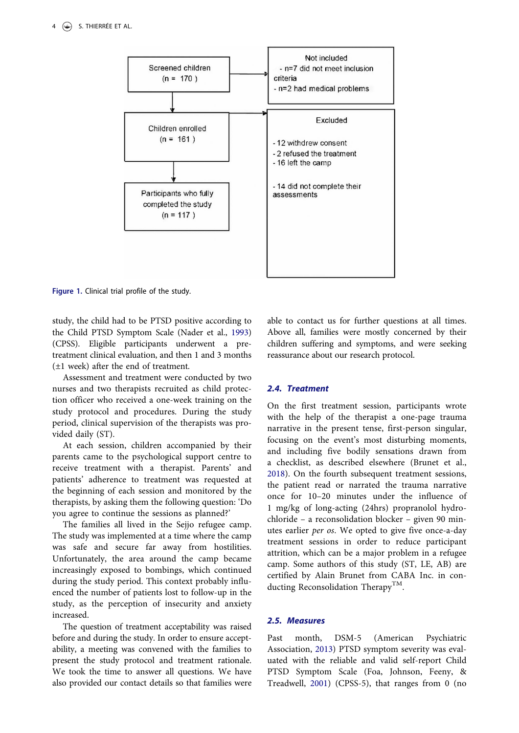

<span id="page-3-0"></span>Figure 1. Clinical trial profile of the study.

study, the child had to be PTSD positive according to the Child PTSD Symptom Scale (Nader et al., [1993\)](#page-6-1) (CPSS). Eligible participants underwent a pretreatment clinical evaluation, and then 1 and 3 months (±1 week) after the end of treatment.

Assessment and treatment were conducted by two nurses and two therapists recruited as child protection officer who received a one-week training on the study protocol and procedures. During the study period, clinical supervision of the therapists was provided daily (ST).

At each session, children accompanied by their parents came to the psychological support centre to receive treatment with a therapist. Parents' and patients' adherence to treatment was requested at the beginning of each session and monitored by the therapists, by asking them the following question: 'Do you agree to continue the sessions as planned?'

The families all lived in the Sejjo refugee camp. The study was implemented at a time where the camp was safe and secure far away from hostilities. Unfortunately, the area around the camp became increasingly exposed to bombings, which continued during the study period. This context probably influenced the number of patients lost to follow-up in the study, as the perception of insecurity and anxiety increased.

The question of treatment acceptability was raised before and during the study. In order to ensure acceptability, a meeting was convened with the families to present the study protocol and treatment rationale. We took the time to answer all questions. We have also provided our contact details so that families were

able to contact us for further questions at all times. Above all, families were mostly concerned by their children suffering and symptoms, and were seeking reassurance about our research protocol.

# 2.4. Treatment

On the first treatment session, participants wrote with the help of the therapist a one-page trauma narrative in the present tense, first-person singular, focusing on the event's most disturbing moments, and including five bodily sensations drawn from a checklist, as described elsewhere (Brunet et al., [2018\)](#page-6-14). On the fourth subsequent treatment sessions, the patient read or narrated the trauma narrative once for 10–20 minutes under the influence of 1 mg/kg of long-acting (24hrs) propranolol hydrochloride – a reconsolidation blocker – given 90 minutes earlier per os. We opted to give five once-a-day treatment sessions in order to reduce participant attrition, which can be a major problem in a refugee camp. Some authors of this study (ST, LE, AB) are certified by Alain Brunet from CABA Inc. in conducting Reconsolidation Therapy<sup>TM</sup>.

### 2.5. Measures

<span id="page-3-2"></span><span id="page-3-1"></span>Past month, DSM-5 (American Psychiatric Association, [2013\)](#page-6-19) PTSD symptom severity was evaluated with the reliable and valid self-report Child PTSD Symptom Scale (Foa, Johnson, Feeny, & Treadwell, [2001](#page-6-20)) (CPSS-5), that ranges from 0 (no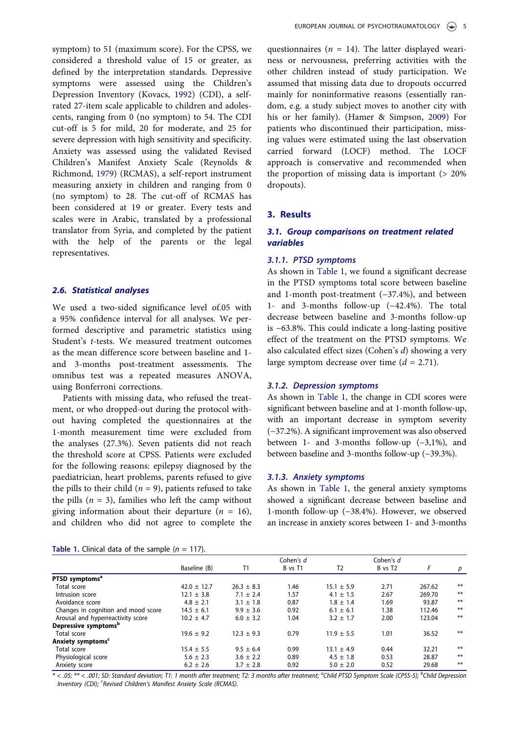<span id="page-4-3"></span><span id="page-4-2"></span>symptom) to 51 (maximum score). For the CPSS, we considered a threshold value of 15 or greater, as defined by the interpretation standards. Depressive symptoms were assessed using the Children's Depression Inventory (Kovacs, [1992](#page-6-21)) (CDI), a selfrated 27-item scale applicable to children and adolescents, ranging from 0 (no symptom) to 54. The CDI cut-off is 5 for mild, 20 for moderate, and 25 for severe depression with high sensitivity and specificity. Anxiety was assessed using the validated Revised Children's Manifest Anxiety Scale (Reynolds & Richmond, [1979\)](#page-7-13) (RCMAS), a self-report instrument measuring anxiety in children and ranging from 0 (no symptom) to 28. The cut-off of RCMAS has been considered at 19 or greater. Every tests and scales were in Arabic, translated by a professional translator from Syria, and completed by the patient with the help of the parents or the legal representatives.

# 2.6. Statistical analyses

We used a two-sided significance level of.05 with a 95% confidence interval for all analyses. We performed descriptive and parametric statistics using Student's t-tests. We measured treatment outcomes as the mean difference score between baseline and 1 and 3-months post-treatment assessments. The omnibus test was a repeated measures ANOVA, using Bonferroni corrections.

Patients with missing data, who refused the treatment, or who dropped-out during the protocol without having completed the questionnaires at the 1-month measurement time were excluded from the analyses (27.3%). Seven patients did not reach the threshold score at CPSS. Patients were excluded for the following reasons: epilepsy diagnosed by the paediatrician, heart problems, parents refused to give the pills to their child ( $n = 9$ ), patients refused to take the pills  $(n = 3)$ , families who left the camp without giving information about their departure ( $n = 16$ ), and children who did not agree to complete the

<span id="page-4-1"></span>questionnaires ( $n = 14$ ). The latter displayed weariness or nervousness, preferring activities with the other children instead of study participation. We assumed that missing data due to dropouts occurred mainly for noninformative reasons (essentially random, e.g. a study subject moves to another city with his or her family). (Hamer & Simpson, [2009\)](#page-6-22) For patients who discontinued their participation, missing values were estimated using the last observation carried forward (LOCF) method. The LOCF approach is conservative and recommended when the proportion of missing data is important  $(> 20\%)$ dropouts).

# 3. Results

# 3.1. Group comparisons on treatment related variables

# 3.1.1. PTSD symptoms

As shown in [Table](#page-4-0) 1, we found a significant decrease in the PTSD symptoms total score between baseline and 1-month post-treatment (−37.4%), and between 1- and 3-months follow-up (−42.4%). The total decrease between baseline and 3-months follow-up is −63.8%. This could indicate a long-lasting positive effect of the treatment on the PTSD symptoms. We also calculated effect sizes (Cohen's d) showing a very large symptom decrease over time  $(d = 2.71)$ .

# 3.1.2. Depression symptoms

As shown in [Table 1,](#page-4-0) the change in CDI scores were significant between baseline and at 1-month follow-up, with an important decrease in symptom severity (−37.2%). A significant improvement was also observed between 1- and 3-months follow-up (−3,1%), and between baseline and 3-months follow-up (−39.3%).

# 3.1.3. Anxiety symptoms

As shown in [Table 1](#page-4-0), the general anxiety symptoms showed a significant decrease between baseline and 1-month follow-up (−38.4%). However, we observed an increase in anxiety scores between 1- and 3-months

|                                     |                 |                | Cohen's <i>d</i> |                | Cohen's d           |        |       |
|-------------------------------------|-----------------|----------------|------------------|----------------|---------------------|--------|-------|
|                                     | Baseline (B)    | T1             | B vs T1          | T <sub>2</sub> | B vs T <sub>2</sub> | F      | p     |
| PTSD symptoms <sup>a</sup>          |                 |                |                  |                |                     |        |       |
| Total score                         | $42.0 \pm 12.7$ | $26.3 \pm 8.3$ | 1.46             | $15.1 \pm 5.9$ | 2.71                | 267.62 | $**$  |
| Intrusion score                     | $12.1 \pm 3.8$  | $7.1 \pm 2.4$  | 1.57             | $4.1 \pm 1.5$  | 2.67                | 269.70 | **    |
| Avoidance score                     | $4.8 \pm 2.1$   | $3.1 \pm 1.8$  | 0.87             | $1.8 \pm 1.4$  | 1.69                | 93.87  | **    |
| Changes in cognition and mood score | $14.5 \pm 6.1$  | $9.9 \pm 3.6$  | 0.92             | $6.1 \pm 6.1$  | 1.38                | 112.46 | **    |
| Arousal and hyperreactivity score   | $10.2 \pm 4.7$  | $6.0 \pm 3.2$  | 1.04             | $3.2 \pm 1.7$  | 2.00                | 123.04 | $***$ |
| Depressive symptoms <sup>b</sup>    |                 |                |                  |                |                     |        |       |
| Total score                         | $19.6 \pm 9.2$  | $12.3 \pm 9.3$ | 0.79             | $11.9 \pm 5.5$ | 1.01                | 36.52  | $**$  |
| Anxiety symptoms <sup>c</sup>       |                 |                |                  |                |                     |        |       |
| Total score                         | $15.4 \pm 5.5$  | $9.5 \pm 6.4$  | 0.99             | $13.1 \pm 4.9$ | 0.44                | 32.21  | **    |
| Physiological score                 | $5.6 \pm 2.3$   | $3.6 \pm 2.2$  | 0.89             | $4.5 \pm 1.8$  | 0.53                | 28.87  | **    |
| Anxiety score                       | $6.2 \pm 2.6$   | $3.7 \pm 2.8$  | 0.92             | $5.0 \pm 2.0$  | 0.52                | 29.68  | $**$  |

 $\overline{a}$  < .05; \*\* < .001; SD: Standard deviation: T1: 1 month after treatment: T2: 3 months after treatment: "Child PTSD Symptom Scale (CPSS-5); <sup>b</sup>Child Depression Inventory (CDI); <sup>c</sup> Revised Children's Manifest Anxiety Scale (RCMAS).

### <span id="page-4-0"></span>Table 1. Clinical data of the sample  $(n = 117)$ .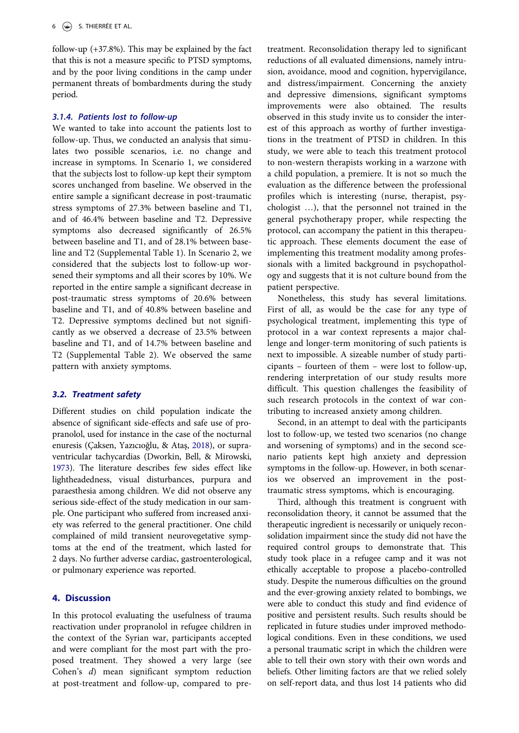follow-up (+37.8%). This may be explained by the fact that this is not a measure specific to PTSD symptoms, and by the poor living conditions in the camp under permanent threats of bombardments during the study period.

#### 3.1.4. Patients lost to follow-up

We wanted to take into account the patients lost to follow-up. Thus, we conducted an analysis that simulates two possible scenarios, i.e. no change and increase in symptoms. In Scenario 1, we considered that the subjects lost to follow-up kept their symptom scores unchanged from baseline. We observed in the entire sample a significant decrease in post-traumatic stress symptoms of 27.3% between baseline and T1, and of 46.4% between baseline and T2. Depressive symptoms also decreased significantly of 26.5% between baseline and T1, and of 28.1% between baseline and T2 (Supplemental Table 1). In Scenario 2, we considered that the subjects lost to follow-up worsened their symptoms and all their scores by 10%. We reported in the entire sample a significant decrease in post-traumatic stress symptoms of 20.6% between baseline and T1, and of 40.8% between baseline and T2. Depressive symptoms declined but not significantly as we observed a decrease of 23.5% between baseline and T1, and of 14.7% between baseline and T2 (Supplemental Table 2). We observed the same pattern with anxiety symptoms.

### 3.2. Treatment safety

<span id="page-5-1"></span><span id="page-5-0"></span>Different studies on child population indicate the absence of significant side-effects and safe use of propranolol, used for instance in the case of the nocturnal enuresis (Çaksen, Yazıcıoğlu, & Ataş, [2018](#page-6-23)), or supraventricular tachycardias (Dworkin, Bell, & Mirowski, [1973\)](#page-6-24). The literature describes few sides effect like lightheadedness, visual disturbances, purpura and paraesthesia among children. We did not observe any serious side-effect of the study medication in our sample. One participant who suffered from increased anxiety was referred to the general practitioner. One child complained of mild transient neurovegetative symptoms at the end of the treatment, which lasted for 2 days. No further adverse cardiac, gastroenterological, or pulmonary experience was reported.

# 4. Discussion

In this protocol evaluating the usefulness of trauma reactivation under propranolol in refugee children in the context of the Syrian war, participants accepted and were compliant for the most part with the proposed treatment. They showed a very large (see Cohen's d) mean significant symptom reduction at post-treatment and follow-up, compared to pre-

treatment. Reconsolidation therapy led to significant reductions of all evaluated dimensions, namely intrusion, avoidance, mood and cognition, hypervigilance, and distress/impairment. Concerning the anxiety and depressive dimensions, significant symptoms improvements were also obtained. The results observed in this study invite us to consider the interest of this approach as worthy of further investigations in the treatment of PTSD in children. In this study, we were able to teach this treatment protocol to non-western therapists working in a warzone with a child population, a premiere. It is not so much the evaluation as the difference between the professional profiles which is interesting (nurse, therapist, psychologist …), that the personnel not trained in the general psychotherapy proper, while respecting the protocol, can accompany the patient in this therapeutic approach. These elements document the ease of implementing this treatment modality among professionals with a limited background in psychopathology and suggests that it is not culture bound from the patient perspective.

Nonetheless, this study has several limitations. First of all, as would be the case for any type of psychological treatment, implementing this type of protocol in a war context represents a major challenge and longer-term monitoring of such patients is next to impossible. A sizeable number of study participants – fourteen of them – were lost to follow-up, rendering interpretation of our study results more difficult. This question challenges the feasibility of such research protocols in the context of war contributing to increased anxiety among children.

Second, in an attempt to deal with the participants lost to follow-up, we tested two scenarios (no change and worsening of symptoms) and in the second scenario patients kept high anxiety and depression symptoms in the follow-up. However, in both scenarios we observed an improvement in the posttraumatic stress symptoms, which is encouraging.

Third, although this treatment is congruent with reconsolidation theory, it cannot be assumed that the therapeutic ingredient is necessarily or uniquely reconsolidation impairment since the study did not have the required control groups to demonstrate that. This study took place in a refugee camp and it was not ethically acceptable to propose a placebo-controlled study. Despite the numerous difficulties on the ground and the ever-growing anxiety related to bombings, we were able to conduct this study and find evidence of positive and persistent results. Such results should be replicated in future studies under improved methodological conditions. Even in these conditions, we used a personal traumatic script in which the children were able to tell their own story with their own words and beliefs. Other limiting factors are that we relied solely on self-report data, and thus lost 14 patients who did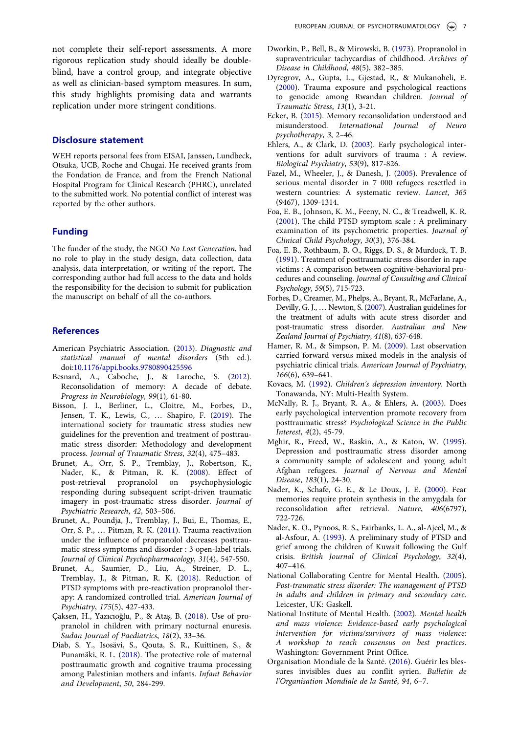not complete their self-report assessments. A more rigorous replication study should ideally be doubleblind, have a control group, and integrate objective as well as clinician-based symptom measures. In sum, this study highlights promising data and warrants replication under more stringent conditions.

### Disclosure statement

WEH reports personal fees from EISAI, Janssen, Lundbeck, Otsuka, UCB, Roche and Chugai. He received grants from the Fondation de France, and from the French National Hospital Program for Clinical Research (PHRC), unrelated to the submitted work. No potential conflict of interest was reported by the other authors.

### Funding

The funder of the study, the NGO No Lost Generation, had no role to play in the study design, data collection, data analysis, data interpretation, or writing of the report. The corresponding author had full access to the data and holds the responsibility for the decision to submit for publication the manuscript on behalf of all the co-authors.

#### References

- <span id="page-6-19"></span>American Psychiatric Association. [\(2013\)](#page-3-1). Diagnostic and statistical manual of mental disorders (5th ed.). doi:[10.1176/appi.books.9780890425596](https://doi.org/10.1176/appi.books.9780890425596)
- <span id="page-6-17"></span>Besnard, A., Caboche, J., & Laroche, S. ([2012](#page-2-0)). Reconsolidation of memory: A decade of debate. Progress in Neurobiology, 99(1), 61-80.
- <span id="page-6-11"></span>Bisson, J. I., Berliner, L., Cloitre, M., Forbes, D., Jensen, T. K., Lewis, C., … Shapiro, F. ([2019\)](#page-1-0). The international society for traumatic stress studies new guidelines for the prevention and treatment of posttraumatic stress disorder: Methodology and development process. Journal of Traumatic Stress, 32(4), 475–483.
- <span id="page-6-13"></span>Brunet, A., Orr, S. P., Tremblay, J., Robertson, K., Nader, K., & Pitman, R. K. [\(2008\)](#page-2-1). Effect of post-retrieval propranolol on psychophysiologic responding during subsequent script-driven traumatic imagery in post-traumatic stress disorder. Journal of Psychiatric Research, 42, 503–506.
- <span id="page-6-18"></span>Brunet, A., Poundja, J., Tremblay, J., Bui, E., Thomas, E., Orr, S. P., … Pitman, R. K. [\(2011](#page-2-2)). Trauma reactivation under the influence of propranolol decreases posttraumatic stress symptoms and disorder : 3 open-label trials. Journal of Clinical Psychopharmacology, 31(4), 547-550.
- <span id="page-6-14"></span>Brunet, A., Saumier, D., Liu, A., Streiner, D. L., Tremblay, J., & Pitman, R. K. ([2018\)](#page-2-1). Reduction of PTSD symptoms with pre-reactivation propranolol therapy: A randomized controlled trial. American Journal of Psychiatry, 175(5), 427-433.
- <span id="page-6-23"></span>Çaksen, H., Yazıcıoğlu, P., & Ataş, B. [\(2018\)](#page-5-0). Use of propranolol in children with primary nocturnal enuresis. Sudan Journal of Paediatrics, 18(2), 33–36.
- <span id="page-6-6"></span>Diab, S. Y., Isosävi, S., Qouta, S. R., Kuittinen, S., & Punamäki, R. L. [\(2018\)](#page-1-1). The protective role of maternal posttraumatic growth and cognitive trauma processing among Palestinian mothers and infants. Infant Behavior and Development, 50, 284-299.
- <span id="page-6-24"></span>Dworkin, P., Bell, B., & Mirowski, B. ([1973](#page-5-1)). Propranolol in supraventricular tachycardias of childhood. Archives of Disease in Childhood, 48(5), 382–385.
- <span id="page-6-0"></span>Dyregrov, A., Gupta, L., Gjestad, R., & Mukanoheli, E. ([2000](#page-1-2)). Trauma exposure and psychological reactions to genocide among Rwandan children. Journal of Traumatic Stress, 13(1), 3-21.
- <span id="page-6-16"></span>Ecker, B. ([2015](#page-2-3)). Memory reconsolidation understood and misunderstood. International Journal of Neuro psychotherapy, 3, 2–46.
- <span id="page-6-7"></span>Ehlers, A., & Clark, D. [\(2003\)](#page-1-3). Early psychological interventions for adult survivors of trauma : A review. Biological Psychiatry, 53(9), 817-826.
- <span id="page-6-4"></span>Fazel, M., Wheeler, J., & Danesh, J. [\(2005\)](#page-1-4). Prevalence of serious mental disorder in 7 000 refugees resettled in western countries: A systematic review. Lancet, 365 (9467), 1309-1314.
- <span id="page-6-20"></span>Foa, E. B., Johnson, K. M., Feeny, N. C., & Treadwell, K. R. ([2001](#page-3-2)). The child PTSD symptom scale : A preliminary examination of its psychometric properties. Journal of Clinical Child Psychology, 30(3), 376-384.
- <span id="page-6-12"></span>Foa, E. B., Rothbaum, B. O., Riggs, D. S., & Murdock, T. B. ([1991\)](#page-2-4). Treatment of posttraumatic stress disorder in rape victims : A comparison between cognitive-behavioral procedures and counseling. Journal of Consulting and Clinical Psychology, 59(5), 715-723.
- <span id="page-6-5"></span>Forbes, D., Creamer, M., Phelps, A., Bryant, R., McFarlane, A., Devilly, G. J., … Newton, S. [\(2007\)](#page-1-5). Australian guidelines for the treatment of adults with acute stress disorder and post-traumatic stress disorder. Australian and New Zealand Journal of Psychiatry, 41(8), 637-648.
- <span id="page-6-22"></span>Hamer, R. M., & Simpson, P. M. [\(2009\)](#page-4-1). Last observation carried forward versus mixed models in the analysis of psychiatric clinical trials. American Journal of Psychiatry, 166(6), 639–641.
- <span id="page-6-21"></span>Kovacs, M. ([1992\)](#page-4-2). Children's depression inventory. North Tonawanda, NY: Multi-Health System.
- <span id="page-6-8"></span>McNally, R. J., Bryant, R. A., & Ehlers, A. ([2003](#page-1-3)). Does early psychological intervention promote recovery from posttraumatic stress? Psychological Science in the Public Interest, 4(2), 45-79.
- <span id="page-6-2"></span>Mghir, R., Freed, W., Raskin, A., & Katon, W. ([1995\)](#page-1-6). Depression and posttraumatic stress disorder among a community sample of adolescent and young adult Afghan refugees. Journal of Nervous and Mental Disease, 183(1), 24-30.
- <span id="page-6-15"></span>Nader, K., Schafe, G. E., & Le Doux, J. E. [\(2000](#page-2-5)). Fear memories require protein synthesis in the amygdala for reconsolidation after retrieval. Nature, 406(6797), 722-726.
- <span id="page-6-1"></span>Nader, K. O., Pynoos, R. S., Fairbanks, L. A., al-Ajeel, M., & al-Asfour, A. ([1993](#page-1-7)). A preliminary study of PTSD and grief among the children of Kuwait following the Gulf crisis. British Journal of Clinical Psychology, 32(4), 407–416.
- <span id="page-6-9"></span>National Collaborating Centre for Mental Health. ([2005\)](#page-1-8). Post-traumatic stress disorder: The management of PTSD in adults and children in primary and secondary care. Leicester, UK: Gaskell.
- <span id="page-6-10"></span>National Institute of Mental Health. ([2002\)](#page-1-9). Mental health and mass violence: Evidence-based early psychological intervention for victims/survivors of mass violence: A workshop to reach consensus on best practices. Washington: Government Print Office.
- <span id="page-6-3"></span>Organisation Mondiale de la Santé. ([2016\)](#page-1-10). Guérir les blessures invisibles dues au conflit syrien. Bulletin de l'Organisation Mondiale de la Santé, 94, 6–7.